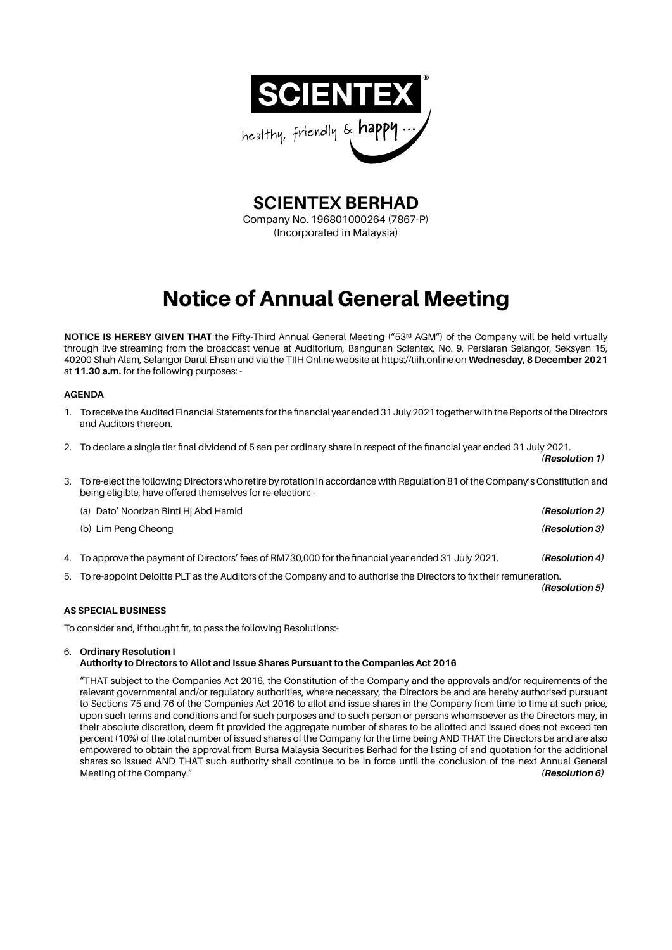

**SCIENTEX BERHAD**

Company No. 196801000264 (7867-P) (Incorporated in Malaysia)

# Notice of Annual General Meeting

**NOTICE IS HEREBY GIVEN THAT** the Fifty-Third Annual General Meeting ("53<sup>rd</sup> AGM") of the Company will be held virtually through live streaming from the broadcast venue at Auditorium, Bangunan Scientex, No. 9, Persiaran Selangor, Seksyen 15, 40200 Shah Alam, Selangor Darul Ehsan and via the TIIH Online website at https://tiih.online on **Wednesday, 8 December 2021** at **11.30 a.m.** for the following purposes: -

# **AGENDA**

- 1. To receive the Audited Financial Statements for the financial year ended 31 July 2021 together with the Reports of the Directors and Auditors thereon.
- 2. To declare a single tier final dividend of 5 sen per ordinary share in respect of the financial year ended 31 July 2021.
- 3. To re-elect the following Directors who retire by rotation in accordance with Regulation 81 of the Company's Constitution and being eligible, have offered themselves for re-election: -
	- (a) Dato' Noorizah Binti Hj Abd Hamid *(Resolution 2)* (b) Lim Peng Cheong *(Resolution 3)*
- 4. To approve the payment of Directors' fees of RM730,000 for the financial year ended 31 July 2021. *(Resolution 4)*
- 5. To re-appoint Deloitte PLT as the Auditors of the Company and to authorise the Directors to fix their remuneration.

*(Resolution 5)*

*(Resolution 1)*

# **AS SPECIAL BUSINESS**

To consider and, if thought fit, to pass the following Resolutions:-

# 6. **Ordinary Resolution I**

# **Authority to Directors to Allot and Issue Shares Pursuant to the Companies Act 2016**

"THAT subject to the Companies Act 2016, the Constitution of the Company and the approvals and/or requirements of the relevant governmental and/or regulatory authorities, where necessary, the Directors be and are hereby authorised pursuant to Sections 75 and 76 of the Companies Act 2016 to allot and issue shares in the Company from time to time at such price, upon such terms and conditions and for such purposes and to such person or persons whomsoever as the Directors may, in their absolute discretion, deem fit provided the aggregate number of shares to be allotted and issued does not exceed ten percent (10%) of the total number of issued shares of the Company for the time being AND THAT the Directors be and are also empowered to obtain the approval from Bursa Malaysia Securities Berhad for the listing of and quotation for the additional shares so issued AND THAT such authority shall continue to be in force until the conclusion of the next Annual General Meeting of the Company." *(Resolution 6)*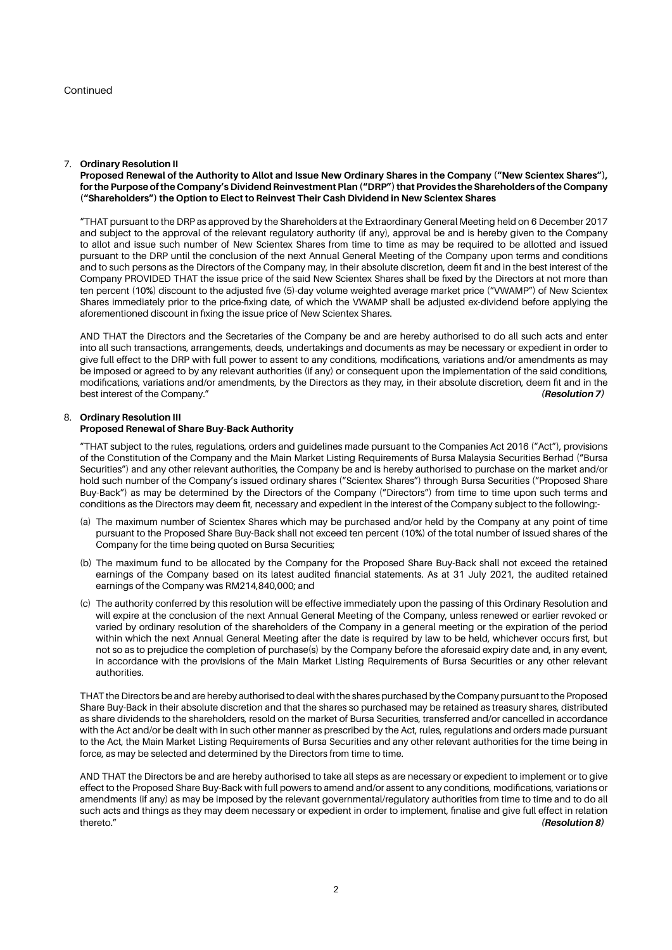## 7. **Ordinary Resolution II**

**Proposed Renewal of the Authority to Allot and Issue New Ordinary Shares in the Company ("New Scientex Shares"), for the Purpose of the Company's Dividend Reinvestment Plan ("DRP") that Provides the Shareholders of the Company ("Shareholders") the Option to Elect to Reinvest Their Cash Dividend in New Scientex Shares** 

"THAT pursuant to the DRP as approved by the Shareholders at the Extraordinary General Meeting held on 6 December 2017 and subject to the approval of the relevant regulatory authority (if any), approval be and is hereby given to the Company to allot and issue such number of New Scientex Shares from time to time as may be required to be allotted and issued pursuant to the DRP until the conclusion of the next Annual General Meeting of the Company upon terms and conditions and to such persons as the Directors of the Company may, in their absolute discretion, deem fit and in the best interest of the Company PROVIDED THAT the issue price of the said New Scientex Shares shall be fixed by the Directors at not more than ten percent (10%) discount to the adjusted five (5)-day volume weighted average market price ("VWAMP") of New Scientex Shares immediately prior to the price-fixing date, of which the VWAMP shall be adjusted ex-dividend before applying the aforementioned discount in fixing the issue price of New Scientex Shares.

AND THAT the Directors and the Secretaries of the Company be and are hereby authorised to do all such acts and enter into all such transactions, arrangements, deeds, undertakings and documents as may be necessary or expedient in order to give full effect to the DRP with full power to assent to any conditions, modifications, variations and/or amendments as may be imposed or agreed to by any relevant authorities (if any) or consequent upon the implementation of the said conditions, modifications, variations and/or amendments, by the Directors as they may, in their absolute discretion, deem fit and in the best interest of the Company." *(Resolution 7)*

## 8. **Ordinary Resolution III Proposed Renewal of Share Buy-Back Authority**

"THAT subject to the rules, regulations, orders and guidelines made pursuant to the Companies Act 2016 ("Act"), provisions of the Constitution of the Company and the Main Market Listing Requirements of Bursa Malaysia Securities Berhad ("Bursa Securities") and any other relevant authorities, the Company be and is hereby authorised to purchase on the market and/or hold such number of the Company's issued ordinary shares ("Scientex Shares") through Bursa Securities ("Proposed Share Buy-Back") as may be determined by the Directors of the Company ("Directors") from time to time upon such terms and conditions as the Directors may deem fit, necessary and expedient in the interest of the Company subject to the following:-

- (a) The maximum number of Scientex Shares which may be purchased and/or held by the Company at any point of time pursuant to the Proposed Share Buy-Back shall not exceed ten percent (10%) of the total number of issued shares of the Company for the time being quoted on Bursa Securities;
- (b) The maximum fund to be allocated by the Company for the Proposed Share Buy-Back shall not exceed the retained earnings of the Company based on its latest audited financial statements. As at 31 July 2021, the audited retained earnings of the Company was RM214,840,000; and
- (c) The authority conferred by this resolution will be effective immediately upon the passing of this Ordinary Resolution and will expire at the conclusion of the next Annual General Meeting of the Company, unless renewed or earlier revoked or varied by ordinary resolution of the shareholders of the Company in a general meeting or the expiration of the period within which the next Annual General Meeting after the date is required by law to be held, whichever occurs first, but not so as to prejudice the completion of purchase(s) by the Company before the aforesaid expiry date and, in any event, in accordance with the provisions of the Main Market Listing Requirements of Bursa Securities or any other relevant authorities.

THAT the Directors be and are hereby authorised to deal with the shares purchased by the Company pursuant to the Proposed Share Buy-Back in their absolute discretion and that the shares so purchased may be retained as treasury shares, distributed as share dividends to the shareholders, resold on the market of Bursa Securities, transferred and/or cancelled in accordance with the Act and/or be dealt with in such other manner as prescribed by the Act, rules, regulations and orders made pursuant to the Act, the Main Market Listing Requirements of Bursa Securities and any other relevant authorities for the time being in force, as may be selected and determined by the Directors from time to time.

AND THAT the Directors be and are hereby authorised to take all steps as are necessary or expedient to implement or to give effect to the Proposed Share Buy-Back with full powers to amend and/or assent to any conditions, modifications, variations or amendments (if any) as may be imposed by the relevant governmental/regulatory authorities from time to time and to do all such acts and things as they may deem necessary or expedient in order to implement, finalise and give full effect in relation steeduring thereto."  $(Resolution 8)$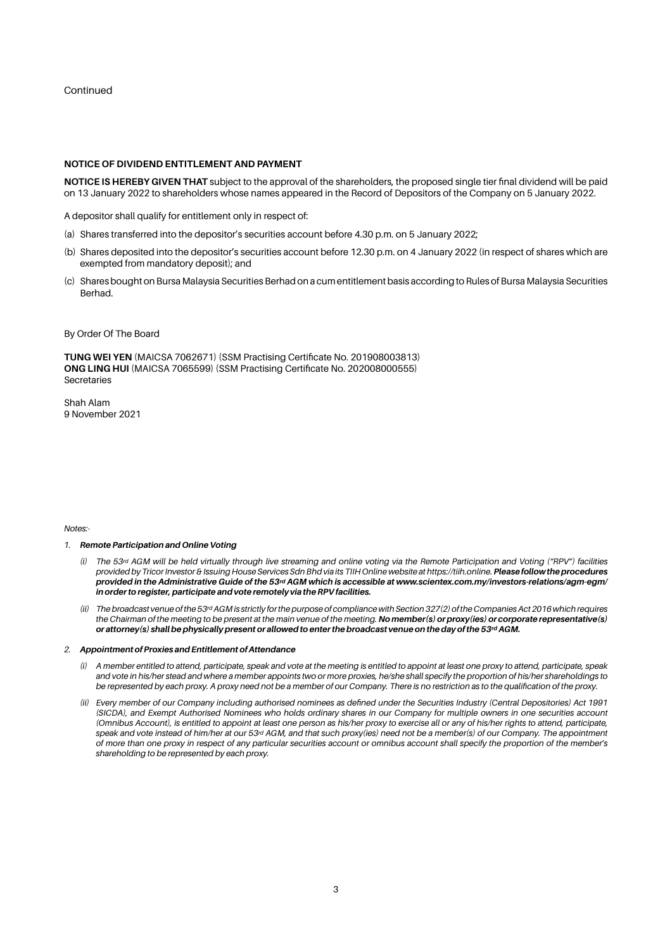Continued

## **NOTICE OF DIVIDEND ENTITLEMENT AND PAYMENT**

**NOTICE IS HEREBY GIVEN THAT** subject to the approval of the shareholders, the proposed single tier final dividend will be paid on 13 January 2022 to shareholders whose names appeared in the Record of Depositors of the Company on 5 January 2022.

A depositor shall qualify for entitlement only in respect of:

- (a) Shares transferred into the depositor's securities account before 4.30 p.m. on 5 January 2022;
- (b) Shares deposited into the depositor's securities account before 12.30 p.m. on 4 January 2022 (in respect of shares which are exempted from mandatory deposit); and
- (c) Shares bought on Bursa Malaysia Securities Berhad on a cum entitlement basis according to Rules of Bursa Malaysia Securities Berhad.
- By Order Of The Board

**TUNG WEI YEN** (MAICSA 7062671) (SSM Practising Certificate No. 201908003813) **ONG LING HUI** (MAICSA 7065599) (SSM Practising Certificate No. 202008000555) Secretaries

Shah Alam 9 November 2021

*Notes:-*

- *1. Remote Participation and Online Voting*
	- *(i) The 53rd AGM will be held virtually through live streaming and online voting via the Remote Participation and Voting ("RPV") facilities provided by Tricor Investor & Issuing House Services Sdn Bhd via its TIIH Online website at https://tiih.online. Please follow the procedures provided in the Administrative Guide of the 53rd AGM which is accessible at www.scientex.com.my/investors-relations/agm-egm/ in order to register, participate and vote remotely via the RPV facilities.*
	- *(ii) The broadcast venue of the 53rd AGM is strictly for the purpose of compliance with Section 327(2) of the Companies Act 2016 which requires the Chairman of the meeting to be present at the main venue of the meeting. No member(s) or proxy(ies) or corporate representative(s) or attorney(s) shall be physically present or allowed to enter the broadcast venue on the day of the 53rd AGM.*

### *2. Appointment of Proxies and Entitlement of Attendance*

- *(i) A member entitled to attend, participate, speak and vote at the meeting is entitled to appoint at least one proxy to attend, participate, speak and vote in his/her stead and where a member appoints two or more proxies, he/she shall specify the proportion of his/her shareholdings to be represented by each proxy. A proxy need not be a member of our Company. There is no restriction as to the qualification of the proxy.*
- *(ii) Every member of our Company including authorised nominees as defined under the Securities Industry (Central Depositories) Act 1991 (SICDA), and Exempt Authorised Nominees who holds ordinary shares in our Company for multiple owners in one securities account (Omnibus Account), is entitled to appoint at least one person as his/her proxy to exercise all or any of his/her rights to attend, participate,*  speak and vote instead of him/her at our 53<sup>rd</sup> AGM, and that such proxy(ies) need not be a member(s) of our Company. The appointment *of more than one proxy in respect of any particular securities account or omnibus account shall specify the proportion of the member's shareholding to be represented by each proxy.*